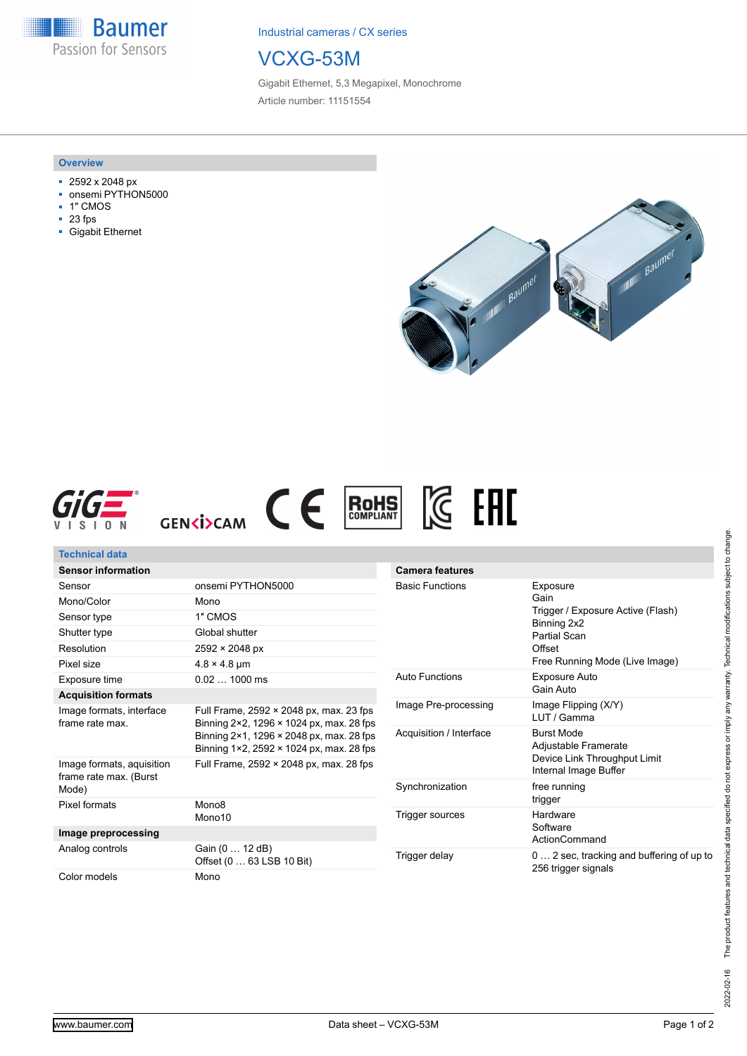**Baumer** Passion for Sensors

Industrial cameras / CX series

## VCXG-53M

Gigabit Ethernet, 5,3 Megapixel, Monochrome Article number: 11151554

## **Overview**

- 2592 x 2048 px
- onsemi PYTHON5000
- 1" CMOS
- 23 fps
- Gigabit Ethernet







| Technical data                                      |                                                                                                                                                                             |                                            |                                                                                                       |
|-----------------------------------------------------|-----------------------------------------------------------------------------------------------------------------------------------------------------------------------------|--------------------------------------------|-------------------------------------------------------------------------------------------------------|
| <b>Sensor information</b>                           |                                                                                                                                                                             | <b>Camera features</b>                     |                                                                                                       |
| Sensor                                              | onsemi PYTHON5000                                                                                                                                                           | <b>Basic Functions</b>                     | Exposure<br>Gain<br>Trigger / Exposure Active (Flash)<br>Binning 2x2<br><b>Partial Scan</b><br>Offset |
| Mono/Color                                          | Mono                                                                                                                                                                        |                                            |                                                                                                       |
| Sensor type                                         | 1" CMOS                                                                                                                                                                     |                                            |                                                                                                       |
| Shutter type                                        | Global shutter                                                                                                                                                              |                                            |                                                                                                       |
| Resolution                                          | $2592 \times 2048 \text{ px}$                                                                                                                                               |                                            |                                                                                                       |
| Pixel size                                          | $4.8 \times 4.8$ µm                                                                                                                                                         |                                            | Free Running Mode (Live Image)                                                                        |
| Exposure time                                       | $0.021000$ ms                                                                                                                                                               | <b>Auto Functions</b>                      | Exposure Auto                                                                                         |
| <b>Acquisition formats</b>                          |                                                                                                                                                                             |                                            | Gain Auto                                                                                             |
| Image formats, interface<br>frame rate max.         | Full Frame, 2592 × 2048 px, max. 23 fps<br>Binning 2×2, 1296 × 1024 px, max. 28 fps<br>Binning 2×1, 1296 × 2048 px, max. 28 fps<br>Binning 1×2, 2592 × 1024 px, max. 28 fps | Image Pre-processing                       | Image Flipping (X/Y)<br>LUT / Gamma                                                                   |
|                                                     |                                                                                                                                                                             | Acquisition / Interface<br>Synchronization | <b>Burst Mode</b><br>Adjustable Framerate<br>Device Link Throughput Limit<br>Internal Image Buffer    |
| Image formats, aquisition<br>frame rate max. (Burst | Full Frame, 2592 × 2048 px, max. 28 fps                                                                                                                                     |                                            |                                                                                                       |
| Mode)                                               |                                                                                                                                                                             |                                            | free running<br>trigger                                                                               |
| Pixel formats                                       | Mono <sub>8</sub>                                                                                                                                                           | Trigger sources                            | Hardware                                                                                              |
|                                                     | Mono10                                                                                                                                                                      |                                            | Software                                                                                              |
| Image preprocessing                                 |                                                                                                                                                                             |                                            | ActionCommand                                                                                         |
| Analog controls                                     | Gain (0  12 dB)<br>Offset (0  63 LSB 10 Bit)                                                                                                                                | Trigger delay                              | 0  2 sec, tracking and buffering of up to<br>256 trigger signals                                      |
| Color models                                        | Mono                                                                                                                                                                        |                                            |                                                                                                       |